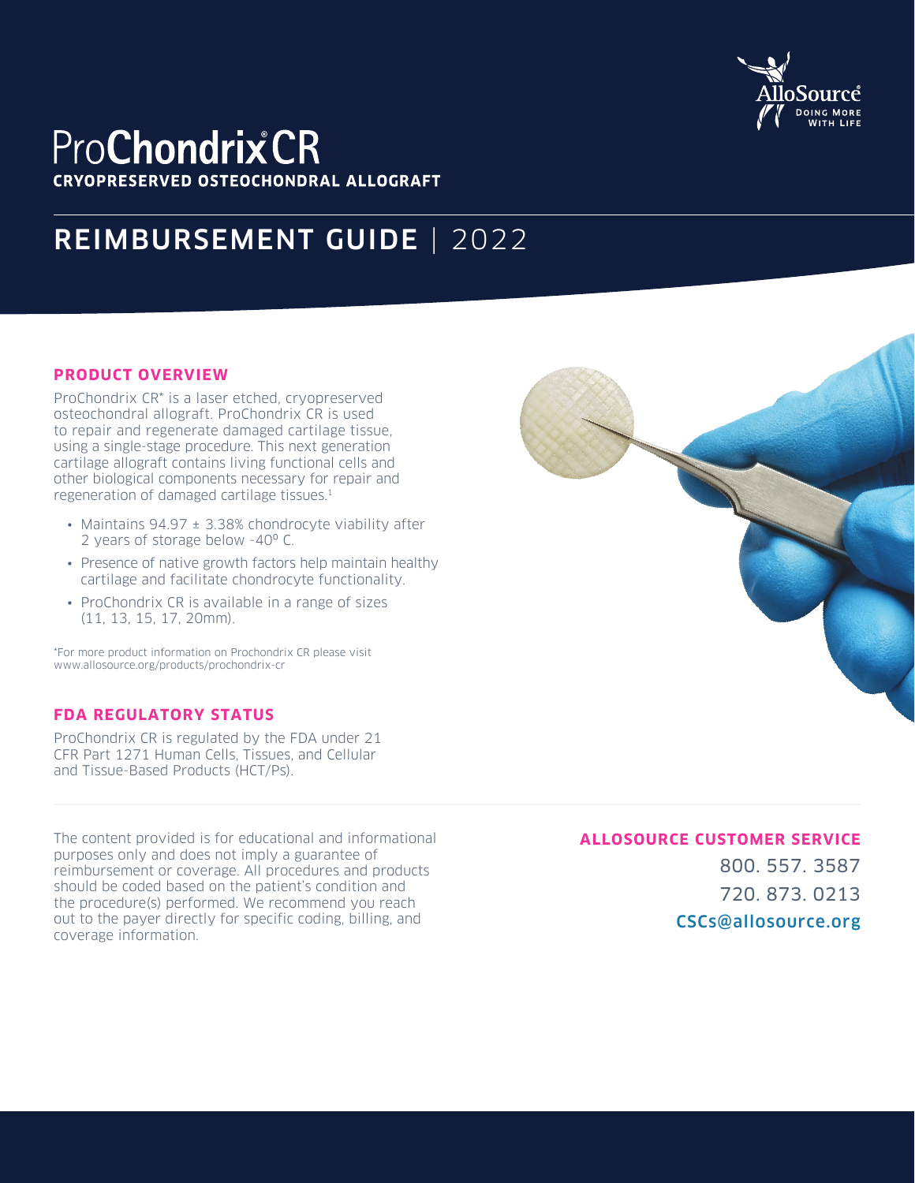

## **ProChondrixCR CRYOPRESERVED OSTEOCHONDRAL ALLOGRAFT**

# REIMBURSEMENT GUIDE | 2022

#### **PRODUCT OVERVIEW**

ProChondrix CR\* is a laser etched, cryopreserved osteochondral allograft. ProChondrix CR is used to repair and regenerate damaged cartilage tissue, using a single‑stage procedure. This next generation cartilage allograft contains living functional cells and other biological components necessary for repair and regeneration of damaged cartilage tissues.1

- Maintains 94.97 ± 3.38% chondrocyte viability after 2 years of storage below -40º C.
- Presence of native growth factors help maintain healthy cartilage and facilitate chondrocyte functionality.
- ProChondrix CR is available in a range of sizes (11, 13, 15, 17, 20mm).

\*For more product information on Prochondrix CR please visit www.allosource.org/products/prochondrix-cr

### **FDA REGULATORY STATUS**

ProChondrix CR is regulated by the FDA under 21 CFR Part 1271 Human Cells, Tissues, and Cellular and Tissue‑Based Products (HCT/Ps).

The content provided is for educational and informational purposes only and does not imply a guarantee of reimbursement or coverage. All procedures and products should be coded based on the patient's condition and the procedure(s) performed. We recommend you reach out to the payer directly for specific coding, billing, and coverage information.

## **ALLOSOURCE CUSTOMER SERVICE**

800. 557. 3587 720. 873. 0213 CSCs@allosource.org

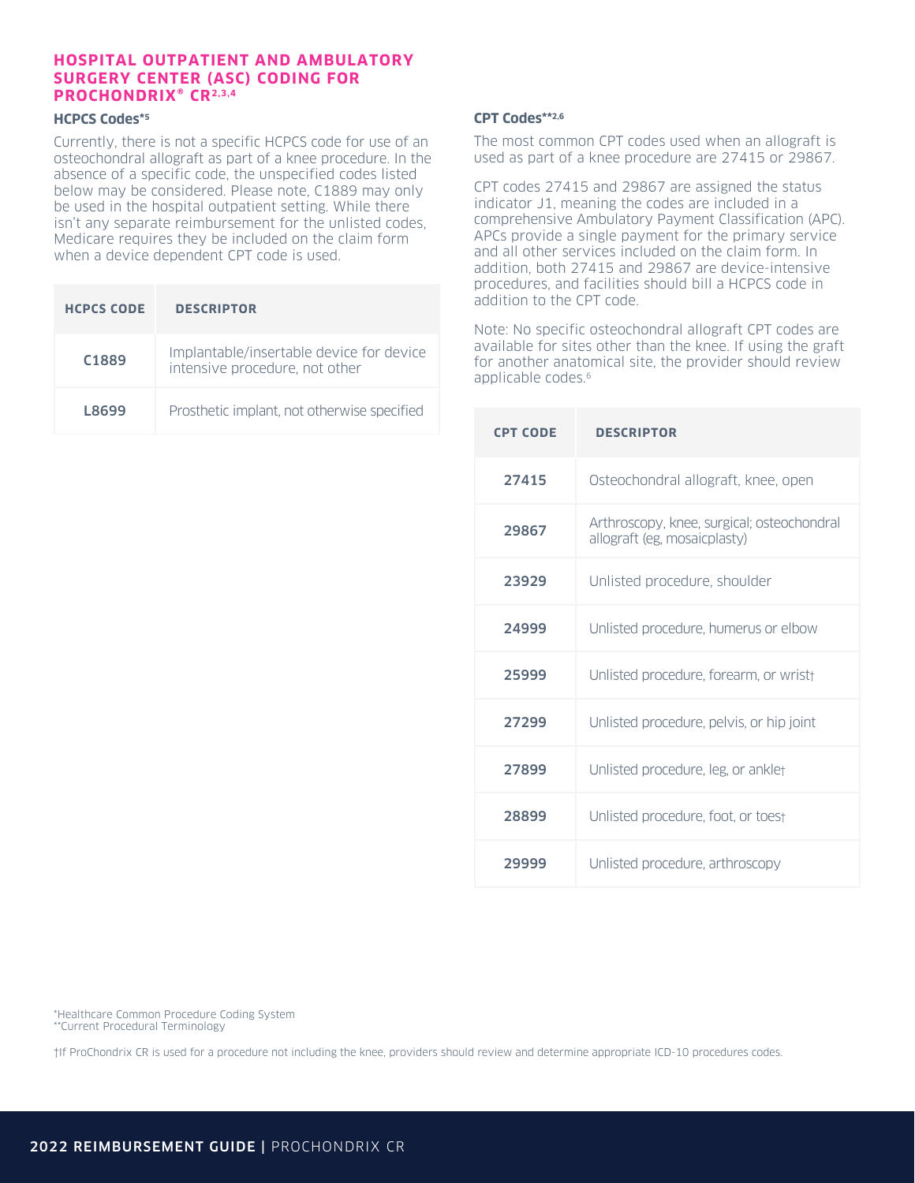#### **HOSPITAL OUTPATIENT AND AMBULATORY SURGERY CENTER (ASC) CODING FOR PROCHONDRIX® CR2,3,4**

#### **HCPCS Codes\*5**

Currently, there is not a specific HCPCS code for use of an osteochondral allograft as part of a knee procedure. In the absence of a specific code, the unspecified codes listed below may be considered. Please note, C1889 may only be used in the hospital outpatient setting. While there isn't any separate reimbursement for the unlisted codes, Medicare requires they be included on the claim form when a device dependent CPT code is used.

| <b>HCPCS CODE</b> | <b>DESCRIPTOR</b>                                                          |
|-------------------|----------------------------------------------------------------------------|
| C <sub>1889</sub> | Implantable/insertable device for device<br>intensive procedure, not other |
| L8699             | Prosthetic implant, not otherwise specified                                |

#### **CPT Codes\*\*2,6**

The most common CPT codes used when an allograft is used as part of a knee procedure are 27415 or 29867.

CPT codes 27415 and 29867 are assigned the status indicator J1, meaning the codes are included in a comprehensive Ambulatory Payment Classification (APC). APCs provide a single payment for the primary service and all other services included on the claim form. In addition, both 27415 and 29867 are device-intensive procedures, and facilities should bill a HCPCS code in addition to the CPT code.

Note: No specific osteochondral allograft CPT codes are available for sites other than the knee. If using the graft for another anatomical site, the provider should review applicable codes.<sup>6</sup>

| <b>CPT CODE</b> | <b>DESCRIPTOR</b>                                                          |
|-----------------|----------------------------------------------------------------------------|
| 27415           | Osteochondral allograft, knee, open                                        |
| 29867           | Arthroscopy, knee, surgical; osteochondral<br>allograft (eg, mosaicplasty) |
| 23929           | Unlisted procedure, shoulder                                               |
| 24999           | Unlisted procedure, humerus or elbow                                       |
| 25999           | Unlisted procedure, forearm, or wrist+                                     |
| 27299           | Unlisted procedure, pelvis, or hip joint                                   |
| 27899           | Unlisted procedure, leg, or anklet                                         |
| 28899           | Unlisted procedure, foot, or toest                                         |
| 29999           | Unlisted procedure, arthroscopy                                            |

\*Healthcare Common Procedure Coding System \*\*Current Procedural Terminology

†If ProChondrix CR is used for a procedure not including the knee, providers should review and determine appropriate ICD-10 procedures codes.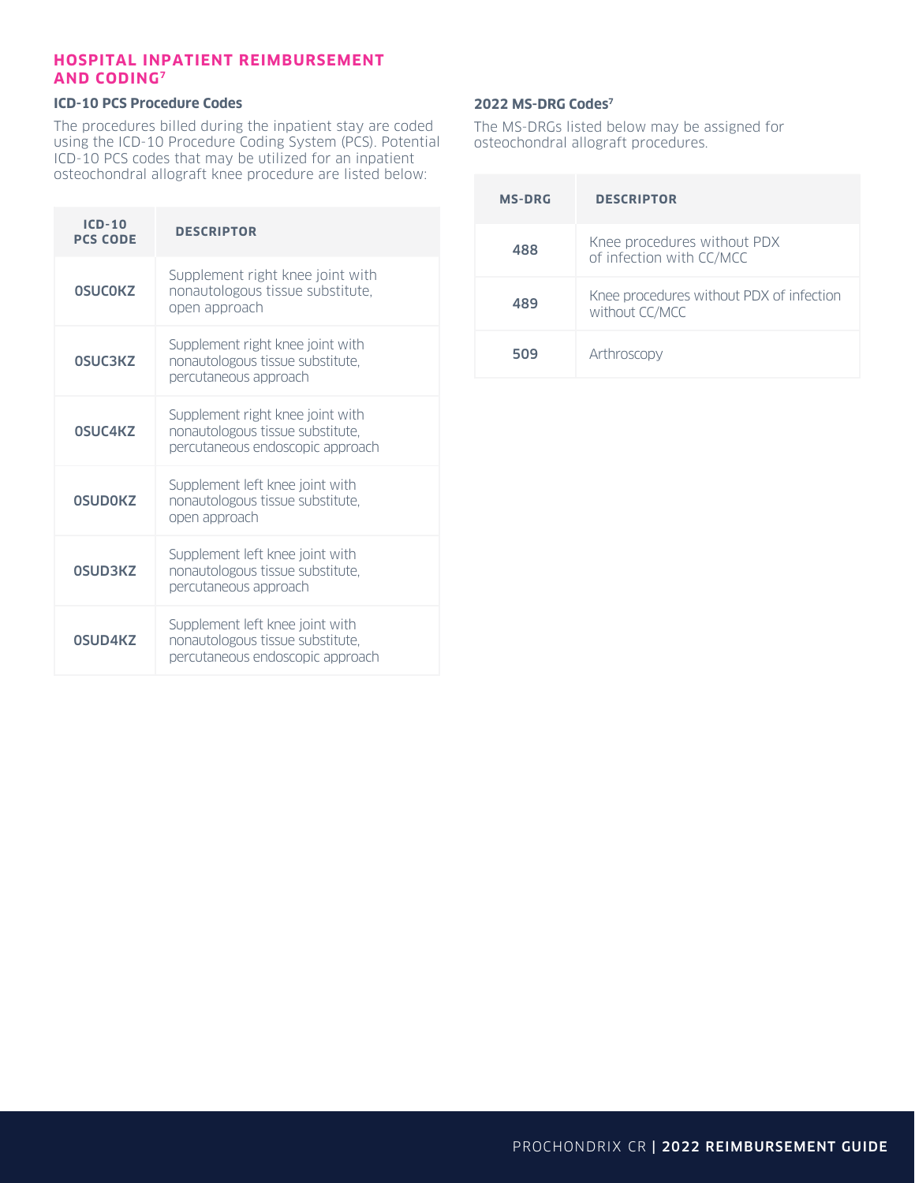#### **HOSPITAL INPATIENT REIMBURSEMENT AND CODING7**

#### **ICD-10 PCS Procedure Codes**

The procedures billed during the inpatient stay are coded using the ICD-10 Procedure Coding System (PCS). Potential ICD-10 PCS codes that may be utilized for an inpatient osteochondral allograft knee procedure are listed below:

| ICD-10<br><b>PCS CODE</b> | <b>DESCRIPTOR</b>                                                                                        |
|---------------------------|----------------------------------------------------------------------------------------------------------|
| <b>OSUCOKZ</b>            | Supplement right knee joint with<br>nonautologous tissue substitute,<br>open approach                    |
| 0SUC3KZ                   | Supplement right knee joint with<br>nonautologous tissue substitute,<br>percutaneous approach            |
| 0SUC4KZ                   | Supplement right knee joint with<br>nonautologous tissue substitute,<br>percutaneous endoscopic approach |
| <b>OSUDOKZ</b>            | Supplement left knee joint with<br>nonautologous tissue substitute,<br>open approach                     |
| 0SUD3KZ                   | Supplement left knee joint with<br>nonautologous tissue substitute,<br>percutaneous approach             |
| <b>OSUD4KZ</b>            | Supplement left knee joint with<br>nonautologous tissue substitute,<br>percutaneous endoscopic approach  |

#### **2022 MS-DRG Codes7**

The MS-DRGs listed below may be assigned for osteochondral allograft procedures.

| <b>MS-DRG</b> | <b>DESCRIPTOR</b>                                          |
|---------------|------------------------------------------------------------|
| 488           | Knee procedures without PDX<br>of infection with CC/MCC    |
| 489           | Knee procedures without PDX of infection<br>without CC/MCC |
| 509           | Arthroscopy                                                |